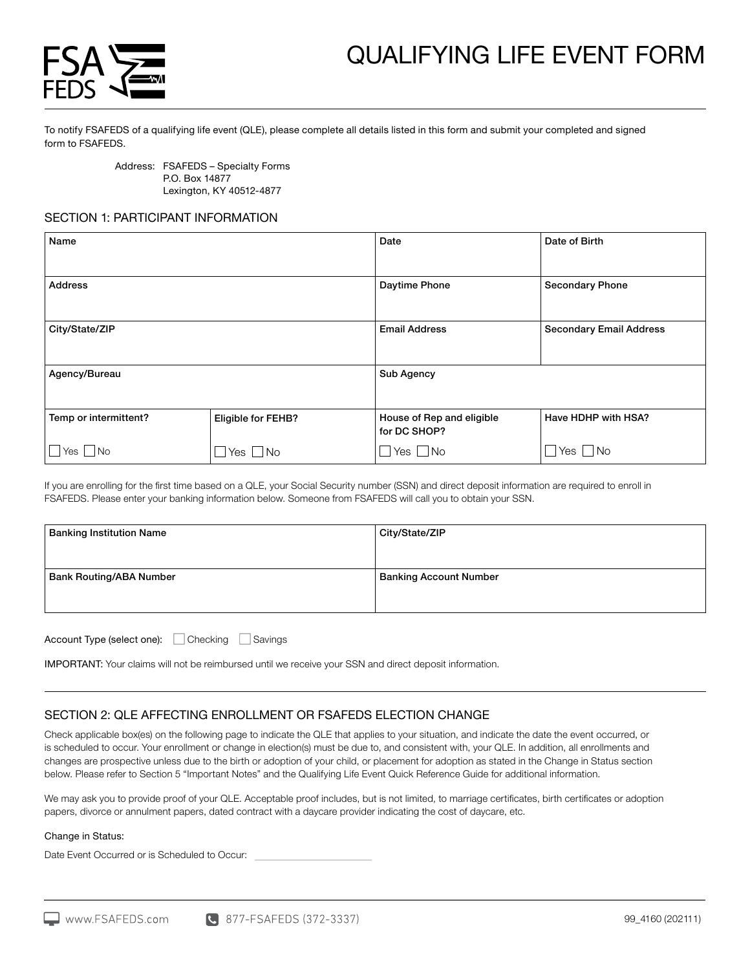



To notify FSAFEDS of a qualifying life event (QLE), please complete all details listed in this form and submit your completed and signed form to FSAFEDS.

> Address: FSAFEDS – Specialty Forms P.O. Box 14877 Lexington, KY 40512-4877

## SECTION 1: PARTICIPANT INFORMATION

| Name                  |                      | Date                                      | Date of Birth                  |
|-----------------------|----------------------|-------------------------------------------|--------------------------------|
| <b>Address</b>        |                      | Daytime Phone                             | <b>Secondary Phone</b>         |
| City/State/ZIP        |                      | <b>Email Address</b>                      | <b>Secondary Email Address</b> |
| Agency/Bureau         |                      | Sub Agency                                |                                |
| Temp or intermittent? | Eligible for FEHB?   | House of Rep and eligible<br>for DC SHOP? | Have HDHP with HSA?            |
| $\Box$ Yes $\Box$ No  | $\Box$ Yes $\Box$ No | $\Box$ Yes $\Box$ No                      | $\Box$ Yes $\Box$ No           |

If you are enrolling for the first time based on a QLE, your Social Security number (SSN) and direct deposit information are required to enroll in FSAFEDS. Please enter your banking information below. Someone from FSAFEDS will call you to obtain your SSN.

| <b>Banking Institution Name</b> | City/State/ZIP                |
|---------------------------------|-------------------------------|
| <b>Bank Routing/ABA Number</b>  | <b>Banking Account Number</b> |
|                                 |                               |

Account Type (select one): Checking Savings

IMPORTANT: Your claims will not be reimbursed until we receive your SSN and direct deposit information.

## SECTION 2: QLE AFFECTING ENROLLMENT OR FSAFEDS ELECTION CHANGE

Check applicable box(es) on the following page to indicate the QLE that applies to your situation, and indicate the date the event occurred, or is scheduled to occur. Your enrollment or change in election(s) must be due to, and consistent with, your QLE. In addition, all enrollments and changes are prospective unless due to the birth or adoption of your child, or placement for adoption as stated in the Change in Status section below. Please refer to Section 5 "Important Notes" and the Qualifying Life Event Quick Reference Guide for additional information.

We may ask you to provide proof of your QLE. Acceptable proof includes, but is not limited, to marriage certificates, birth certificates or adoption papers, divorce or annulment papers, dated contract with a daycare provider indicating the cost of daycare, etc.

### Change in Status:

Date Event Occurred or is Scheduled to Occur: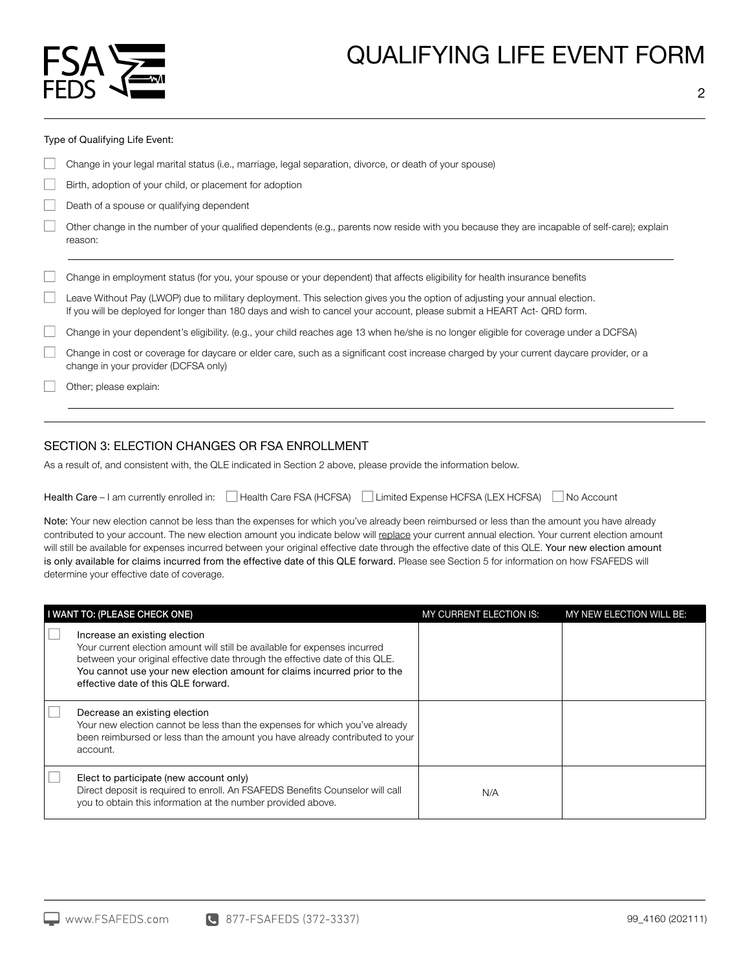

#### Type of Qualifying Life Event:

- Change in your legal marital status (i.e., marriage, legal separation, divorce, or death of your spouse)
- Birth, adoption of your child, or placement for adoption
- Death of a spouse or qualifying dependent
- Other change in the number of your qualified dependents (e.g., parents now reside with you because they are incapable of self-care); explain reason:

#### Change in employment status (for you, your spouse or your dependent) that affects eligibility for health insurance benefits

Leave Without Pay (LWOP) due to military deployment. This selection gives you the option of adjusting your annual election. If you will be deployed for longer than 180 days and wish to cancel your account, please submit a HEART Act- QRD form.

| Change in your dependent's eligibility. (e.g., your child reaches age 13 when he/she is no longer eligible for coverage under a DCFSA) |  |  |
|----------------------------------------------------------------------------------------------------------------------------------------|--|--|
|                                                                                                                                        |  |  |

Change in cost or coverage for daycare or elder care, such as a significant cost increase charged by your current daycare provider, or a change in your provider (DCFSA only)

Other; please explain:

## SECTION 3: ELECTION CHANGES OR FSA ENROLLMENT

As a result of, and consistent with, the QLE indicated in Section 2 above, please provide the information below.

| Health Care $-1$ am currently enrolled in: $   \cdot   $ | Health Care FSA (HCFSA) | Limited Expense HCFSA (LEX HCFSA) | No Account |
|----------------------------------------------------------|-------------------------|-----------------------------------|------------|
|----------------------------------------------------------|-------------------------|-----------------------------------|------------|

Note: Your new election cannot be less than the expenses for which you've already been reimbursed or less than the amount you have already contributed to your account. The new election amount you indicate below will replace your current annual election. Your current election amount will still be available for expenses incurred between your original effective date through the effective date of this QLE. Your new election amount is only available for claims incurred from the effective date of this QLE forward. Please see Section 5 for information on how FSAFEDS will determine your effective date of coverage.

| I WANT TO: (PLEASE CHECK ONE)                                                                                                                                                                                                                                                                                  | MY CURRENT ELECTION IS: | MY NEW ELECTION WILL BE: |
|----------------------------------------------------------------------------------------------------------------------------------------------------------------------------------------------------------------------------------------------------------------------------------------------------------------|-------------------------|--------------------------|
| Increase an existing election<br>Your current election amount will still be available for expenses incurred<br>between your original effective date through the effective date of this QLE.<br>You cannot use your new election amount for claims incurred prior to the<br>effective date of this QLE forward. |                         |                          |
| Decrease an existing election<br>Your new election cannot be less than the expenses for which you've already<br>been reimbursed or less than the amount you have already contributed to your<br>account.                                                                                                       |                         |                          |
| Elect to participate (new account only)<br>Direct deposit is required to enroll. An FSAFEDS Benefits Counselor will call<br>you to obtain this information at the number provided above.                                                                                                                       | N/A                     |                          |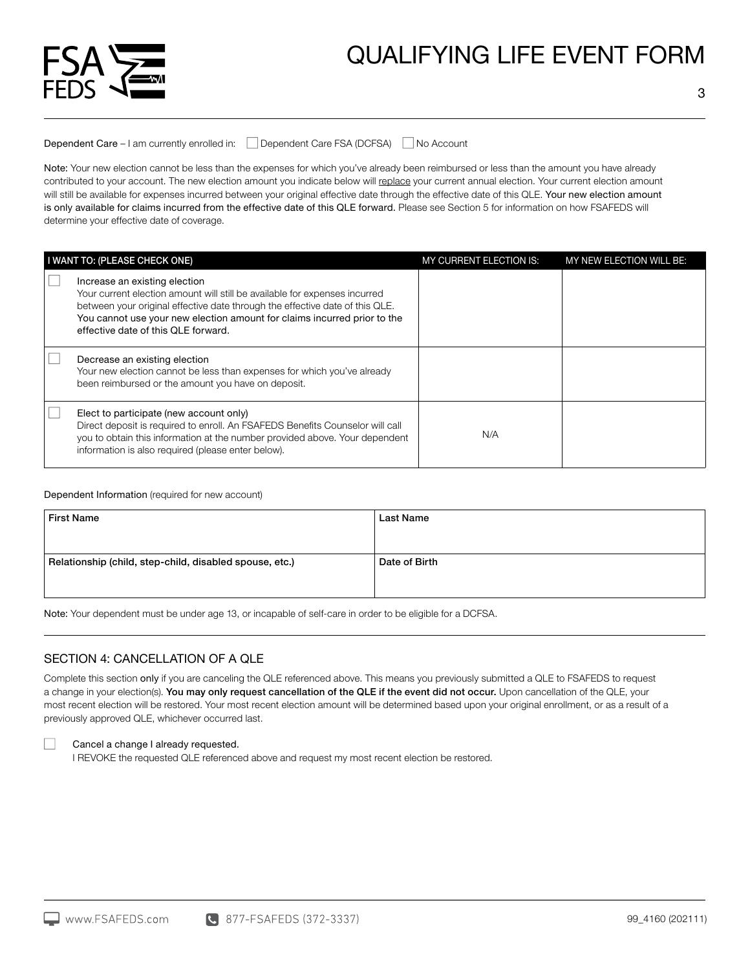

Dependent Care – I am currently enrolled in: □ Dependent Care FSA (DCFSA) No Account

Note: Your new election cannot be less than the expenses for which you've already been reimbursed or less than the amount you have already contributed to your account. The new election amount you indicate below will replace your current annual election. Your current election amount will still be available for expenses incurred between your original effective date through the effective date of this QLE. Your new election amount is only available for claims incurred from the effective date of this QLE forward. Please see Section 5 for information on how FSAFEDS will determine your effective date of coverage.

| I WANT TO: (PLEASE CHECK ONE)                                                                                                                                                                                                                                                                                  | MY CURRENT ELECTION IS: | MY NEW ELECTION WILL BE: |
|----------------------------------------------------------------------------------------------------------------------------------------------------------------------------------------------------------------------------------------------------------------------------------------------------------------|-------------------------|--------------------------|
| Increase an existing election<br>Your current election amount will still be available for expenses incurred<br>between your original effective date through the effective date of this QLE.<br>You cannot use your new election amount for claims incurred prior to the<br>effective date of this QLE forward. |                         |                          |
| Decrease an existing election<br>Your new election cannot be less than expenses for which you've already<br>been reimbursed or the amount you have on deposit.                                                                                                                                                 |                         |                          |
| Elect to participate (new account only)<br>Direct deposit is required to enroll. An FSAFEDS Benefits Counselor will call<br>you to obtain this information at the number provided above. Your dependent<br>information is also required (please enter below).                                                  | N/A                     |                          |

Dependent Information (required for new account)

| <b>Last Name</b> |
|------------------|
| Date of Birth    |
|                  |

Note: Your dependent must be under age 13, or incapable of self-care in order to be eligible for a DCFSA.

## SECTION 4: CANCELLATION OF A QLE

Complete this section only if you are canceling the QLE referenced above. This means you previously submitted a QLE to FSAFEDS to request a change in your election(s). You may only request cancellation of the QLE if the event did not occur. Upon cancellation of the QLE, your most recent election will be restored. Your most recent election amount will be determined based upon your original enrollment, or as a result of a previously approved QLE, whichever occurred last.

## Cancel a change I already requested.

I REVOKE the requested QLE referenced above and request my most recent election be restored.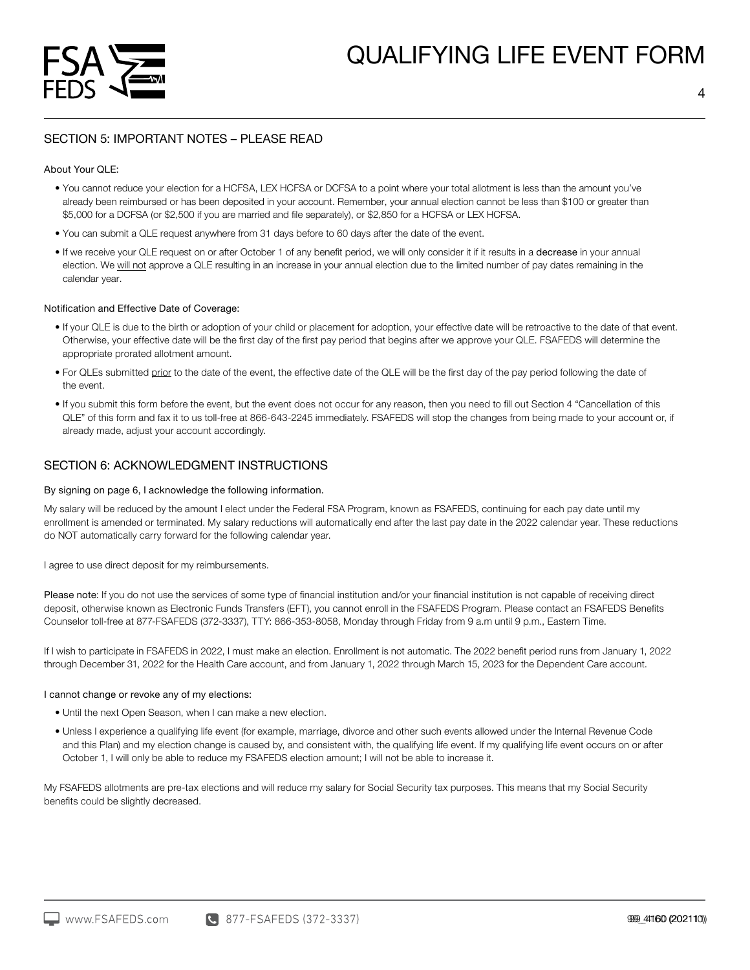

## SECTION 5: IMPORTANT NOTES – PLEASE READ

## About Your QLE:

- You cannot reduce your election for a HCFSA, LEX HCFSA or DCFSA to a point where your total allotment is less than the amount you've already been reimbursed or has been deposited in your account. Remember, your annual election cannot be less than \$100 or greater than \$5,000 for a DCFSA (or \$2,500 if you are married and file separately), or \$2,850 for a HCFSA or LEX HCFSA.
- You can submit a QLE request anywhere from 31 days before to 60 days after the date of the event.
- If we receive your QLE request on or after October 1 of any benefit period, we will only consider it if it results in a decrease in your annual election. We will not approve a QLE resulting in an increase in your annual election due to the limited number of pay dates remaining in the calendar year.

### Notification and Effective Date of Coverage:

- If your QLE is due to the birth or adoption of your child or placement for adoption, your effective date will be retroactive to the date of that event. Otherwise, your effective date will be the first day of the first pay period that begins after we approve your QLE. FSAFEDS will determine the appropriate prorated allotment amount.
- For QLEs submitted prior to the date of the event, the effective date of the QLE will be the first day of the pay period following the date of the event.
- If you submit this form before the event, but the event does not occur for any reason, then you need to fill out Section 4 "Cancellation of this QLE" of this form and fax it to us toll-free at 866-643-2245 immediately. FSAFEDS will stop the changes from being made to your account or, if already made, adjust your account accordingly.

## SECTION 6: ACKNOWLEDGMENT INSTRUCTIONS

### By signing on page 6, I acknowledge the following information.

My salary will be reduced by the amount I elect under the Federal FSA Program, known as FSAFEDS, continuing for each pay date until my enrollment is amended or terminated. My salary reductions will automatically end after the last pay date in the 2022 calendar year. These reductions do NOT automatically carry forward for the following calendar year.

I agree to use direct deposit for my reimbursements.

Please note: If you do not use the services of some type of financial institution and/or your financial institution is not capable of receiving direct deposit, otherwise known as Electronic Funds Transfers (EFT), you cannot enroll in the FSAFEDS Program. Please contact an FSAFEDS Benefits Counselor toll-free at 877-FSAFEDS (372-3337), TTY: 866-353-8058, Monday through Friday from 9 a.m until 9 p.m., Eastern Time.

If I wish to participate in FSAFEDS in 2022, I must make an election. Enrollment is not automatic. The 2022 benefit period runs from January 1, 2022 through December 31, 2022 for the Health Care account, and from January 1, 2022 through March 15, 2023 for the Dependent Care account.

#### I cannot change or revoke any of my elections:

- Until the next Open Season, when I can make a new election.
- Unless I experience a qualifying life event (for example, marriage, divorce and other such events allowed under the Internal Revenue Code and this Plan) and my election change is caused by, and consistent with, the qualifying life event. If my qualifying life event occurs on or after October 1, I will only be able to reduce my FSAFEDS election amount; I will not be able to increase it.

My FSAFEDS allotments are pre-tax elections and will reduce my salary for Social Security tax purposes. This means that my Social Security benefits could be slightly decreased.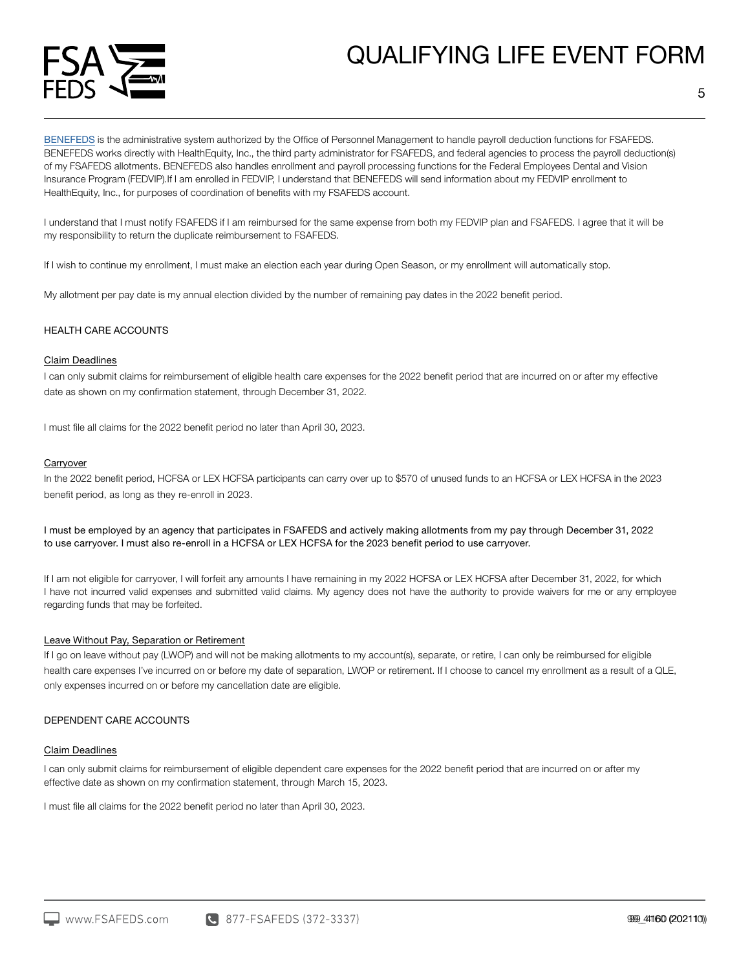

[BENEFEDS](https://www.benefeds.com/) is the administrative system authorized by the Office of Personnel Management to handle payroll deduction functions for FSAFEDS. BENEFEDS works directly with HealthEquity, Inc., the third party administrator for FSAFEDS, and federal agencies to process the payroll deduction(s) of my FSAFEDS allotments. BENEFEDS also handles enrollment and payroll processing functions for the Federal Employees Dental and Vision Insurance Program (FEDVIP).If I am enrolled in FEDVIP, I understand that BENEFEDS will send information about my FEDVIP enrollment to HealthEquity, Inc., for purposes of coordination of benefits with my FSAFEDS account.

I understand that I must notify FSAFEDS if I am reimbursed for the same expense from both my FEDVIP plan and FSAFEDS. I agree that it will be my responsibility to return the duplicate reimbursement to FSAFEDS.

If I wish to continue my enrollment, I must make an election each year during Open Season, or my enrollment will automatically stop.

My allotment per pay date is my annual election divided by the number of remaining pay dates in the 2022 benefit period.

## HEALTH CARE ACCOUNTS

#### Claim Deadlines

I can only submit claims for reimbursement of eligible health care expenses for the 2022 benefit period that are incurred on or after my effective date as shown on my confirmation statement, through December 31, 2022.

I must file all claims for the 2022 benefit period no later than April 30, 2023.

#### **Carryover**

In the 2022 benefit period, HCFSA or LEX HCFSA participants can carry over up to \$570 of unused funds to an HCFSA or LEX HCFSA in the 2023 benefit period, as long as they re-enroll in 2023.

I must be employed by an agency that participates in FSAFEDS and actively making allotments from my pay through December 31, 2022 to use carryover. I must also re-enroll in a HCFSA or LEX HCFSA for the 2023 benefit period to use carryover.

If I am not eligible for carryover, I will forfeit any amounts I have remaining in my 2022 HCFSA or LEX HCFSA after December 31, 2022, for which I have not incurred valid expenses and submitted valid claims. My agency does not have the authority to provide waivers for me or any employee regarding funds that may be forfeited.

## Leave Without Pay, Separation or Retirement

If I go on leave without pay (LWOP) and will not be making allotments to my account(s), separate, or retire, I can only be reimbursed for eligible health care expenses I've incurred on or before my date of separation, LWOP or retirement. If I choose to cancel my enrollment as a result of a QLE, only expenses incurred on or before my cancellation date are eligible.

### DEPENDENT CARE ACCOUNTS

#### Claim Deadlines

I can only submit claims for reimbursement of eligible dependent care expenses for the 2022 benefit period that are incurred on or after my effective date as shown on my confirmation statement, through March 15, 2023.

I must file all claims for the 2022 benefit period no later than April 30, 2023.